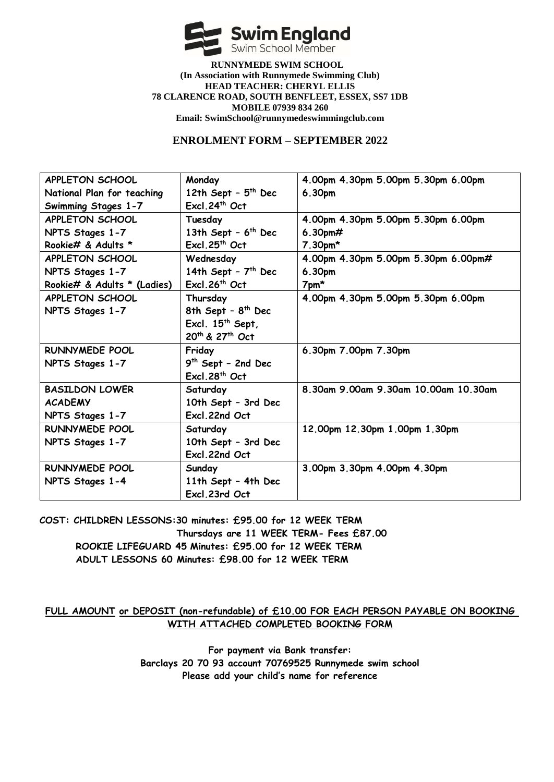

 **RUNNYMEDE SWIM SCHOOL (In Association with Runnymede Swimming Club) HEAD TEACHER: CHERYL ELLIS 78 CLARENCE ROAD, SOUTH BENFLEET, ESSEX, SS7 1DB MOBILE 07939 834 260 Email: SwimSchool@runnymedeswimmingclub.com**

## **ENROLMENT FORM – SEPTEMBER 2022**

| APPLETON SCHOOL             | Monday                         | 4.00pm 4.30pm 5.00pm 5.30pm 6.00pm   |
|-----------------------------|--------------------------------|--------------------------------------|
| National Plan for teaching  | 12th Sept - $5th$ Dec          | 6.30pm                               |
| Swimming Stages 1-7         | Excl. 24 <sup>th</sup> Oct     |                                      |
| APPLETON SCHOOL             | Tuesday                        | 4.00pm 4.30pm 5.00pm 5.30pm 6.00pm   |
| NPTS Stages 1-7             | 13th Sept - $6th$ Dec          | 6.30 $pm#$                           |
| Rookie# & Adults *          | Excl.25 <sup>th</sup> Oct      | $7.30pm$ *                           |
| APPLETON SCHOOL             | Wednesday                      | 4.00pm 4.30pm 5.00pm 5.30pm 6.00pm#  |
| NPTS Stages 1-7             | 14th Sept - $7th$ Dec          | 6.30pm                               |
| Rookie# & Adults * (Ladies) | Excl. 26 <sup>th</sup> Oct     | $7$ pm $*$                           |
| APPLETON SCHOOL             | Thursday                       | 4.00pm 4.30pm 5.00pm 5.30pm 6.00pm   |
| NPTS Stages 1-7             | 8th Sept - 8 <sup>th</sup> Dec |                                      |
|                             | Excl. $15^{th}$ Sept,          |                                      |
|                             | 20th & 27th Oct                |                                      |
| RUNNYMEDE POOL              | Friday                         | 6.30pm 7.00pm 7.30pm                 |
| NPTS Stages 1-7             | $9th$ Sept - 2nd Dec           |                                      |
|                             | Excl. 28 <sup>th</sup> Oct     |                                      |
| <b>BASILDON LOWER</b>       | Saturday                       | 8.30am 9.00am 9.30am 10.00am 10.30am |
| <b>ACADEMY</b>              | 10th Sept - 3rd Dec            |                                      |
| NPTS Stages 1-7             | Excl.22nd Oct                  |                                      |
| <b>RUNNYMEDE POOL</b>       | Saturday                       | 12.00pm 12.30pm 1.00pm 1.30pm        |
| NPTS Stages 1-7             | 10th Sept - 3rd Dec            |                                      |
|                             | Excl.22nd Oct                  |                                      |
| <b>RUNNYMEDE POOL</b>       | Sunday                         | 3.00pm 3.30pm 4.00pm 4.30pm          |
| NPTS Stages 1-4             | 11th Sept - 4th Dec            |                                      |
|                             | Excl.23rd Oct                  |                                      |

**COST: CHILDREN LESSONS:30 minutes: £95.00 for 12 WEEK TERM Thursdays are 11 WEEK TERM- Fees £87.00 ROOKIE LIFEGUARD 45 Minutes: £95.00 for 12 WEEK TERM ADULT LESSONS 60 Minutes: £98.00 for 12 WEEK TERM**

## **FULL AMOUNT or DEPOSIT (non-refundable) of £10.00 FOR EACH PERSON PAYABLE ON BOOKING WITH ATTACHED COMPLETED BOOKING FORM**

**For payment via Bank transfer: Barclays 20 70 93 account 70769525 Runnymede swim school Please add your child's name for reference**